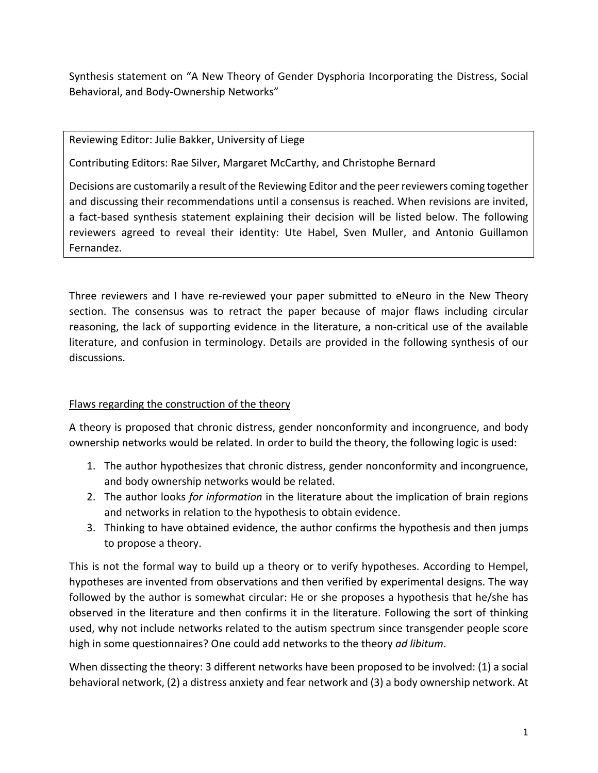Synthesis statement on "A New Theory of Gender Dysphoria Incorporating the Distress, Social Behavioral, and Body‐Ownership Networks"

Reviewing Editor: Julie Bakker, University of Liege

Contributing Editors: Rae Silver, Margaret McCarthy, and Christophe Bernard

Decisions are customarily a result of the Reviewing Editor and the peer reviewers coming together and discussing their recommendations until a consensus is reached. When revisions are invited, a fact-based synthesis statement explaining their decision will be listed below. The following reviewers agreed to reveal their identity: Ute Habel, Sven Muller, and Antonio Guillamon Fernandez.

Three reviewers and I have re-reviewed your paper submitted to eNeuro in the New Theory section. The consensus was to retract the paper because of major flaws including circular reasoning, the lack of supporting evidence in the literature, a non-critical use of the available literature, and confusion in terminology. Details are provided in the following synthesis of our discussions.

## Flaws regarding the construction of the theory

A theory is proposed that chronic distress, gender nonconformity and incongruence, and body ownership networks would be related. In order to build the theory, the following logic is used:

- 1. The author hypothesizes that chronic distress, gender nonconformity and incongruence, and body ownership networks would be related.
- 2. The author looks *for information* in the literature about the implication of brain regions and networks in relation to the hypothesis to obtain evidence.
- 3. Thinking to have obtained evidence, the author confirms the hypothesis and then jumps to propose a theory.

This is not the formal way to build up a theory or to verify hypotheses. According to Hempel, hypotheses are invented from observations and then verified by experimental designs. The way followed by the author is somewhat circular: He or she proposes a hypothesis that he/she has observed in the literature and then confirms it in the literature. Following the sort of thinking used, why not include networks related to the autism spectrum since transgender people score high in some questionnaires? One could add networks to the theory *ad libitum*.

When dissecting the theory: 3 different networks have been proposed to be involved: (1) a social behavioral network, (2) a distress anxiety and fear network and (3) a body ownership network. At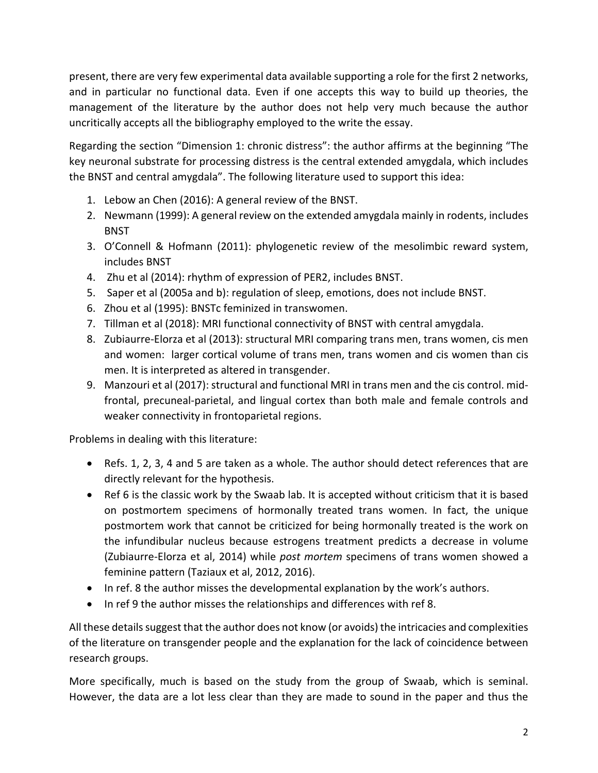present, there are very few experimental data available supporting a role for the first 2 networks, and in particular no functional data. Even if one accepts this way to build up theories, the management of the literature by the author does not help very much because the author uncritically accepts all the bibliography employed to the write the essay.

Regarding the section "Dimension 1: chronic distress": the author affirms at the beginning "The key neuronal substrate for processing distress is the central extended amygdala, which includes the BNST and central amygdala". The following literature used to support this idea:

- 1. Lebow an Chen (2016): A general review of the BNST.
- 2. Newmann (1999): A general review on the extended amygdala mainly in rodents, includes BNST
- 3. O'Connell & Hofmann (2011): phylogenetic review of the mesolimbic reward system, includes BNST
- 4. Zhu et al (2014): rhythm of expression of PER2, includes BNST.
- 5. Saper et al (2005a and b): regulation of sleep, emotions, does not include BNST.
- 6. Zhou et al (1995): BNSTc feminized in transwomen.
- 7. Tillman et al (2018): MRI functional connectivity of BNST with central amygdala.
- 8. Zubiaurre‐Elorza et al (2013): structural MRI comparing trans men, trans women, cis men and women: larger cortical volume of trans men, trans women and cis women than cis men. It is interpreted as altered in transgender.
- 9. Manzouri et al (2017): structural and functional MRI in trans men and the cis control. mid‐ frontal, precuneal‐parietal, and lingual cortex than both male and female controls and weaker connectivity in frontoparietal regions.

Problems in dealing with this literature:

- Refs. 1, 2, 3, 4 and 5 are taken as a whole. The author should detect references that are directly relevant for the hypothesis.
- Ref 6 is the classic work by the Swaab lab. It is accepted without criticism that it is based on postmortem specimens of hormonally treated trans women. In fact, the unique postmortem work that cannot be criticized for being hormonally treated is the work on the infundibular nucleus because estrogens treatment predicts a decrease in volume (Zubiaurre‐Elorza et al, 2014) while *post mortem* specimens of trans women showed a feminine pattern (Taziaux et al, 2012, 2016).
- In ref. 8 the author misses the developmental explanation by the work's authors.
- In ref 9 the author misses the relationships and differences with ref 8.

All these details suggest that the author does not know (or avoids) the intricacies and complexities of the literature on transgender people and the explanation for the lack of coincidence between research groups.

More specifically, much is based on the study from the group of Swaab, which is seminal. However, the data are a lot less clear than they are made to sound in the paper and thus the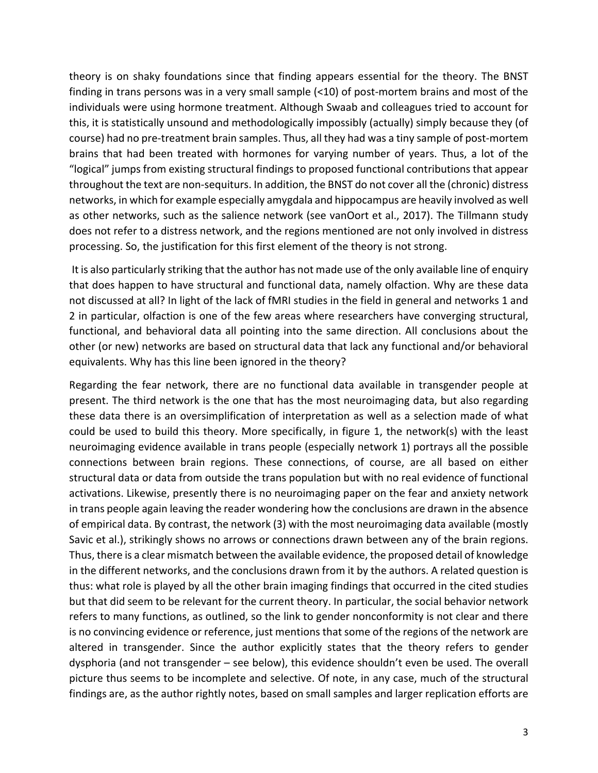theory is on shaky foundations since that finding appears essential for the theory. The BNST finding in trans persons was in a very small sample  $(<10)$  of post-mortem brains and most of the individuals were using hormone treatment. Although Swaab and colleagues tried to account for this, it is statistically unsound and methodologically impossibly (actually) simply because they (of course) had no pre‐treatment brain samples. Thus, all they had was a tiny sample of post‐mortem brains that had been treated with hormones for varying number of years. Thus, a lot of the "logical" jumps from existing structural findings to proposed functional contributions that appear throughout the text are non‐sequiturs. In addition, the BNST do not cover all the (chronic) distress networks, in which for example especially amygdala and hippocampus are heavily involved as well as other networks, such as the salience network (see vanOort et al., 2017). The Tillmann study does not refer to a distress network, and the regions mentioned are not only involved in distress processing. So, the justification for this first element of the theory is not strong.

 It is also particularly striking that the author has not made use of the only available line of enquiry that does happen to have structural and functional data, namely olfaction. Why are these data not discussed at all? In light of the lack of fMRI studies in the field in general and networks 1 and 2 in particular, olfaction is one of the few areas where researchers have converging structural, functional, and behavioral data all pointing into the same direction. All conclusions about the other (or new) networks are based on structural data that lack any functional and/or behavioral equivalents. Why has this line been ignored in the theory?

Regarding the fear network, there are no functional data available in transgender people at present. The third network is the one that has the most neuroimaging data, but also regarding these data there is an oversimplification of interpretation as well as a selection made of what could be used to build this theory. More specifically, in figure 1, the network(s) with the least neuroimaging evidence available in trans people (especially network 1) portrays all the possible connections between brain regions. These connections, of course, are all based on either structural data or data from outside the trans population but with no real evidence of functional activations. Likewise, presently there is no neuroimaging paper on the fear and anxiety network in trans people again leaving the reader wondering how the conclusions are drawn in the absence of empirical data. By contrast, the network (3) with the most neuroimaging data available (mostly Savic et al.), strikingly shows no arrows or connections drawn between any of the brain regions. Thus, there is a clear mismatch between the available evidence, the proposed detail of knowledge in the different networks, and the conclusions drawn from it by the authors. A related question is thus: what role is played by all the other brain imaging findings that occurred in the cited studies but that did seem to be relevant for the current theory. In particular, the social behavior network refers to many functions, as outlined, so the link to gender nonconformity is not clear and there is no convincing evidence or reference, just mentions that some of the regions of the network are altered in transgender. Since the author explicitly states that the theory refers to gender dysphoria (and not transgender – see below), this evidence shouldn't even be used. The overall picture thus seems to be incomplete and selective. Of note, in any case, much of the structural findings are, as the author rightly notes, based on small samples and larger replication efforts are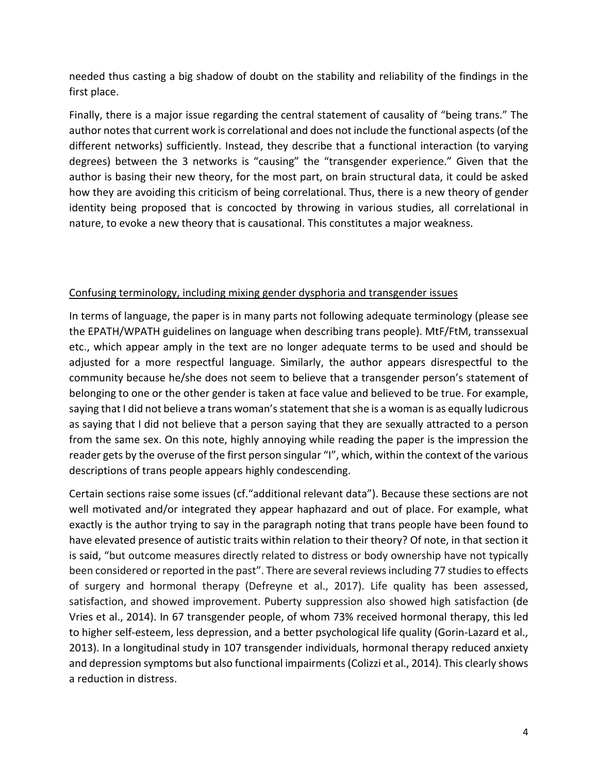needed thus casting a big shadow of doubt on the stability and reliability of the findings in the first place.

Finally, there is a major issue regarding the central statement of causality of "being trans." The author notes that current work is correlational and does not include the functional aspects (of the different networks) sufficiently. Instead, they describe that a functional interaction (to varying degrees) between the 3 networks is "causing" the "transgender experience." Given that the author is basing their new theory, for the most part, on brain structural data, it could be asked how they are avoiding this criticism of being correlational. Thus, there is a new theory of gender identity being proposed that is concocted by throwing in various studies, all correlational in nature, to evoke a new theory that is causational. This constitutes a major weakness.

## Confusing terminology, including mixing gender dysphoria and transgender issues

In terms of language, the paper is in many parts not following adequate terminology (please see the EPATH/WPATH guidelines on language when describing trans people). MtF/FtM, transsexual etc., which appear amply in the text are no longer adequate terms to be used and should be adjusted for a more respectful language. Similarly, the author appears disrespectful to the community because he/she does not seem to believe that a transgender person's statement of belonging to one or the other gender is taken at face value and believed to be true. For example, saying that I did not believe a trans woman's statement that she is a woman is as equally ludicrous as saying that I did not believe that a person saying that they are sexually attracted to a person from the same sex. On this note, highly annoying while reading the paper is the impression the reader gets by the overuse of the first person singular "I", which, within the context of the various descriptions of trans people appears highly condescending.

Certain sections raise some issues (cf."additional relevant data"). Because these sections are not well motivated and/or integrated they appear haphazard and out of place. For example, what exactly is the author trying to say in the paragraph noting that trans people have been found to have elevated presence of autistic traits within relation to their theory? Of note, in that section it is said, "but outcome measures directly related to distress or body ownership have not typically been considered or reported in the past". There are several reviews including 77 studies to effects of surgery and hormonal therapy (Defreyne et al., 2017). Life quality has been assessed, satisfaction, and showed improvement. Puberty suppression also showed high satisfaction (de Vries et al., 2014). In 67 transgender people, of whom 73% received hormonal therapy, this led to higher self‐esteem, less depression, and a better psychological life quality (Gorin‐Lazard et al., 2013). In a longitudinal study in 107 transgender individuals, hormonal therapy reduced anxiety and depression symptoms but also functional impairments (Colizzi et al., 2014). This clearly shows a reduction in distress.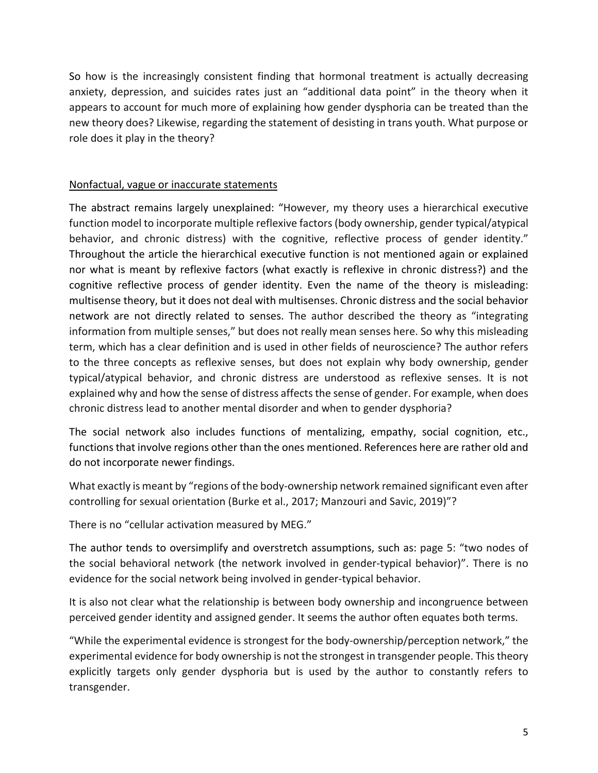So how is the increasingly consistent finding that hormonal treatment is actually decreasing anxiety, depression, and suicides rates just an "additional data point" in the theory when it appears to account for much more of explaining how gender dysphoria can be treated than the new theory does? Likewise, regarding the statement of desisting in trans youth. What purpose or role does it play in the theory?

## Nonfactual, vague or inaccurate statements

The abstract remains largely unexplained: "However, my theory uses a hierarchical executive function model to incorporate multiple reflexive factors (body ownership, gender typical/atypical behavior, and chronic distress) with the cognitive, reflective process of gender identity." Throughout the article the hierarchical executive function is not mentioned again or explained nor what is meant by reflexive factors (what exactly is reflexive in chronic distress?) and the cognitive reflective process of gender identity. Even the name of the theory is misleading: multisense theory, but it does not deal with multisenses. Chronic distress and the social behavior network are not directly related to senses. The author described the theory as "integrating information from multiple senses," but does not really mean senses here. So why this misleading term, which has a clear definition and is used in other fields of neuroscience? The author refers to the three concepts as reflexive senses, but does not explain why body ownership, gender typical/atypical behavior, and chronic distress are understood as reflexive senses. It is not explained why and how the sense of distress affects the sense of gender. For example, when does chronic distress lead to another mental disorder and when to gender dysphoria?

The social network also includes functions of mentalizing, empathy, social cognition, etc., functions that involve regions other than the ones mentioned. References here are rather old and do not incorporate newer findings.

What exactly is meant by "regions of the body‐ownership network remained significant even after controlling for sexual orientation (Burke et al., 2017; Manzouri and Savic, 2019)"?

There is no "cellular activation measured by MEG."

The author tends to oversimplify and overstretch assumptions, such as: page 5: "two nodes of the social behavioral network (the network involved in gender‐typical behavior)". There is no evidence for the social network being involved in gender‐typical behavior.

It is also not clear what the relationship is between body ownership and incongruence between perceived gender identity and assigned gender. It seems the author often equates both terms.

"While the experimental evidence is strongest for the body‐ownership/perception network," the experimental evidence for body ownership is not the strongest in transgender people. This theory explicitly targets only gender dysphoria but is used by the author to constantly refers to transgender.